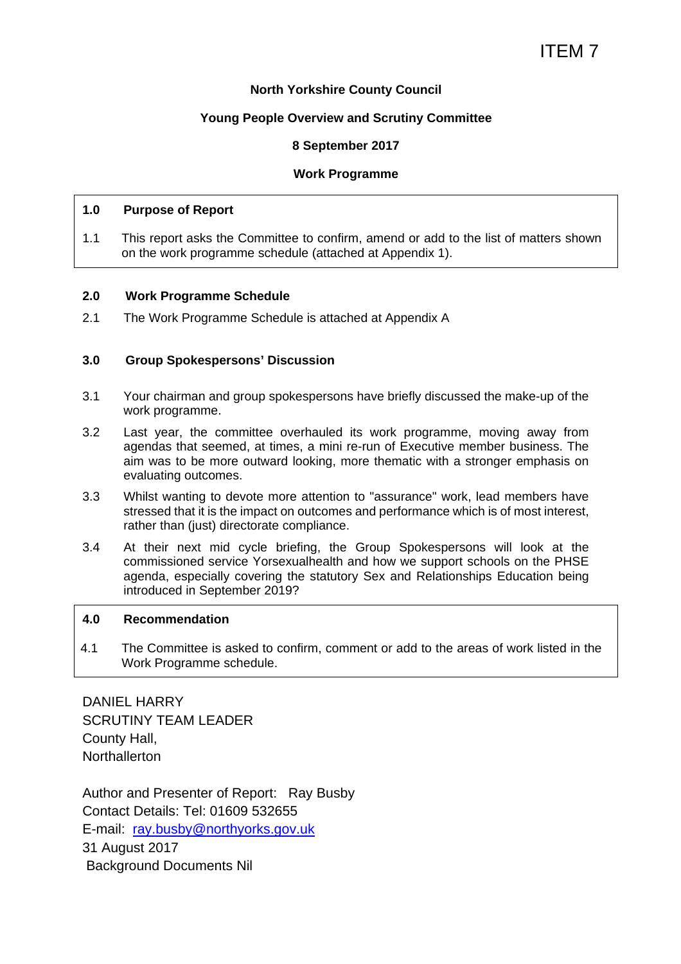#### **North Yorkshire County Council**

#### **Young People Overview and Scrutiny Committee**

#### **8 September 2017**

#### **Work Programme**

#### **1.0 Purpose of Report**

1.1 This report asks the Committee to confirm, amend or add to the list of matters shown on the work programme schedule (attached at Appendix 1).

#### **2.0 Work Programme Schedule**

2.1 The Work Programme Schedule is attached at Appendix A

#### **3.0 Group Spokespersons' Discussion**

- 3.1 Your chairman and group spokespersons have briefly discussed the make-up of the work programme.
- 3.2 Last year, the committee overhauled its work programme, moving away from agendas that seemed, at times, a mini re-run of Executive member business. The aim was to be more outward looking, more thematic with a stronger emphasis on evaluating outcomes.
- 3.3 Whilst wanting to devote more attention to "assurance" work, lead members have stressed that it is the impact on outcomes and performance which is of most interest, rather than (just) directorate compliance.
- 3.4 At their next mid cycle briefing, the Group Spokespersons will look at the commissioned service Yorsexualhealth and how we support schools on the PHSE agenda, especially covering the statutory Sex and Relationships Education being introduced in September 2019?

#### **4.0 Recommendation**

4.1 The Committee is asked to confirm, comment or add to the areas of work listed in the Work Programme schedule.

DANIEL HARRY SCRUTINY TEAM LEADER County Hall, **Northallerton** 

Author and Presenter of Report: Ray Busby Contact Details: Tel: 01609 532655 E-mail: ray.busby@northyorks.gov.uk 31 August 2017 Background Documents Nil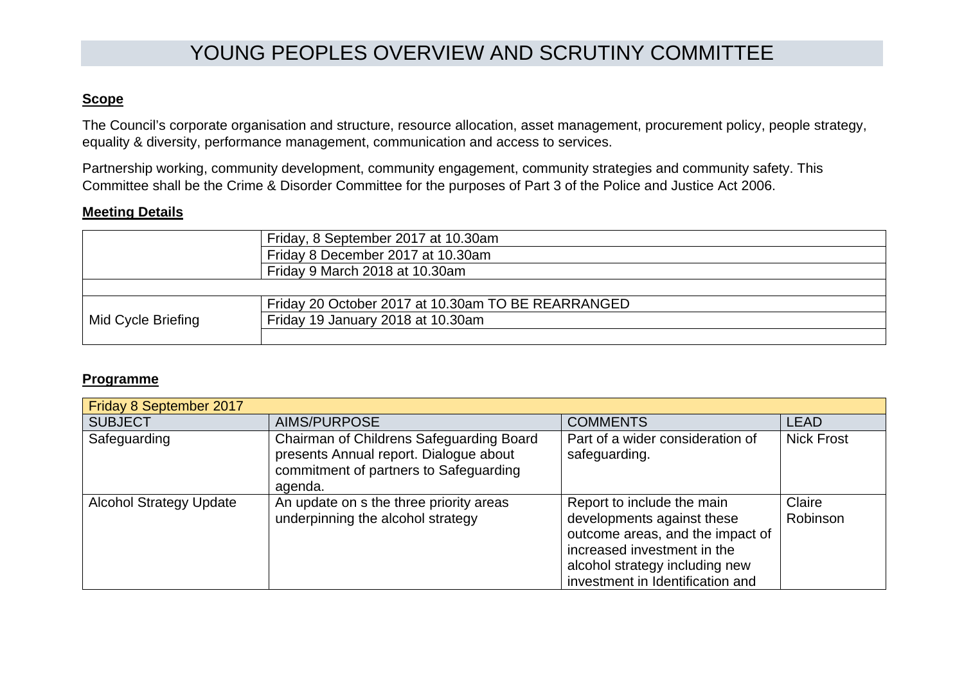# YOUNG PEOPLES OVERVIEW AND SCRUTINY COMMITTEE

# **Scope**

The Council's corporate organisation and structure, resource allocation, asset management, procurement policy, people strategy, equality & diversity, performance management, communication and access to services.

Partnership working, community development, community engagement, community strategies and community safety. This Committee shall be the Crime & Disorder Committee for the purposes of Part 3 of the Police and Justice Act 2006.

## **Meeting Details**

| Friday, 8 September 2017 at 10.30am |                                                    |
|-------------------------------------|----------------------------------------------------|
|                                     | Friday 8 December 2017 at 10.30am                  |
|                                     | Friday 9 March 2018 at 10.30am                     |
|                                     |                                                    |
| Mid Cycle Briefing                  | Friday 20 October 2017 at 10.30am TO BE REARRANGED |
|                                     | Friday 19 January 2018 at 10.30am                  |
|                                     |                                                    |

### **Programme**

| Friday 8 September 2017        |                                                                                                                                         |                                                                                                                                                                                                   |                    |  |
|--------------------------------|-----------------------------------------------------------------------------------------------------------------------------------------|---------------------------------------------------------------------------------------------------------------------------------------------------------------------------------------------------|--------------------|--|
| <b>SUBJECT</b>                 | AIMS/PURPOSE                                                                                                                            | <b>COMMENTS</b>                                                                                                                                                                                   | <b>LEAD</b>        |  |
| Safeguarding                   | Chairman of Childrens Safeguarding Board<br>presents Annual report. Dialogue about<br>commitment of partners to Safeguarding<br>agenda. | Part of a wider consideration of<br>safeguarding.                                                                                                                                                 | <b>Nick Frost</b>  |  |
| <b>Alcohol Strategy Update</b> | An update on s the three priority areas<br>underpinning the alcohol strategy                                                            | Report to include the main<br>developments against these<br>outcome areas, and the impact of<br>increased investment in the<br>alcohol strategy including new<br>investment in Identification and | Claire<br>Robinson |  |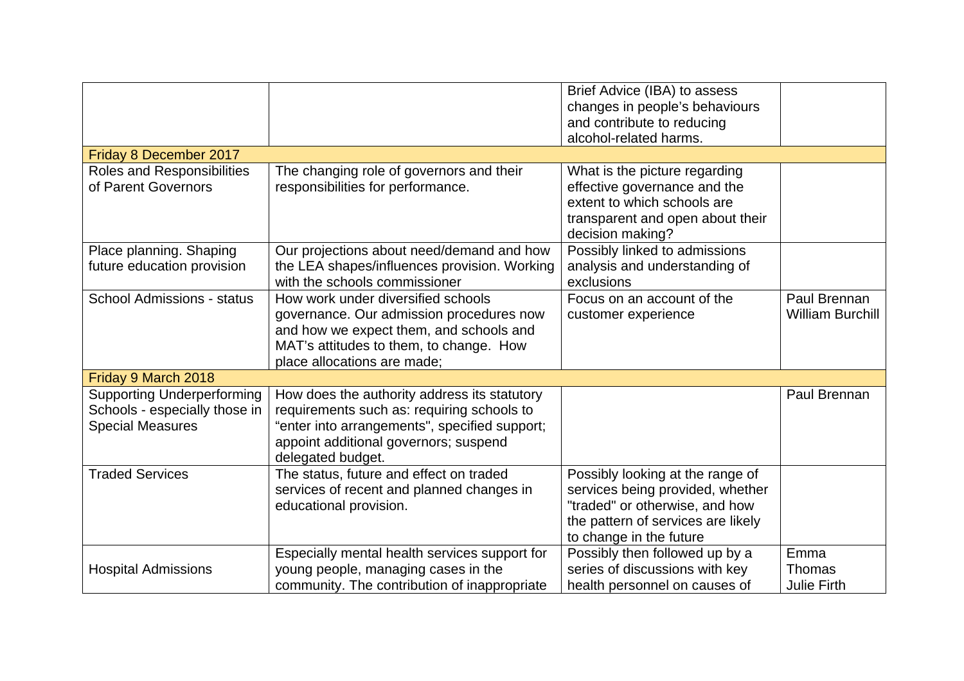|                                                                                               |                                                                                                                                                                                                           | Brief Advice (IBA) to assess<br>changes in people's behaviours<br>and contribute to reducing<br>alcohol-related harms.                                                  |                                             |
|-----------------------------------------------------------------------------------------------|-----------------------------------------------------------------------------------------------------------------------------------------------------------------------------------------------------------|-------------------------------------------------------------------------------------------------------------------------------------------------------------------------|---------------------------------------------|
| Friday 8 December 2017                                                                        |                                                                                                                                                                                                           |                                                                                                                                                                         |                                             |
| Roles and Responsibilities<br>of Parent Governors                                             | The changing role of governors and their<br>responsibilities for performance.                                                                                                                             | What is the picture regarding<br>effective governance and the<br>extent to which schools are<br>transparent and open about their<br>decision making?                    |                                             |
| Place planning. Shaping<br>future education provision                                         | Our projections about need/demand and how<br>the LEA shapes/influences provision. Working<br>with the schools commissioner                                                                                | Possibly linked to admissions<br>analysis and understanding of<br>exclusions                                                                                            |                                             |
| <b>School Admissions - status</b>                                                             | How work under diversified schools<br>governance. Our admission procedures now<br>and how we expect them, and schools and<br>MAT's attitudes to them, to change. How<br>place allocations are made;       | Focus on an account of the<br>customer experience                                                                                                                       | Paul Brennan<br><b>William Burchill</b>     |
| Friday 9 March 2018                                                                           |                                                                                                                                                                                                           |                                                                                                                                                                         |                                             |
| <b>Supporting Underperforming</b><br>Schools - especially those in<br><b>Special Measures</b> | How does the authority address its statutory<br>requirements such as: requiring schools to<br>"enter into arrangements", specified support;<br>appoint additional governors; suspend<br>delegated budget. |                                                                                                                                                                         | Paul Brennan                                |
| <b>Traded Services</b>                                                                        | The status, future and effect on traded<br>services of recent and planned changes in<br>educational provision.                                                                                            | Possibly looking at the range of<br>services being provided, whether<br>"traded" or otherwise, and how<br>the pattern of services are likely<br>to change in the future |                                             |
| <b>Hospital Admissions</b>                                                                    | Especially mental health services support for<br>young people, managing cases in the<br>community. The contribution of inappropriate                                                                      | Possibly then followed up by a<br>series of discussions with key<br>health personnel on causes of                                                                       | Emma<br><b>Thomas</b><br><b>Julie Firth</b> |